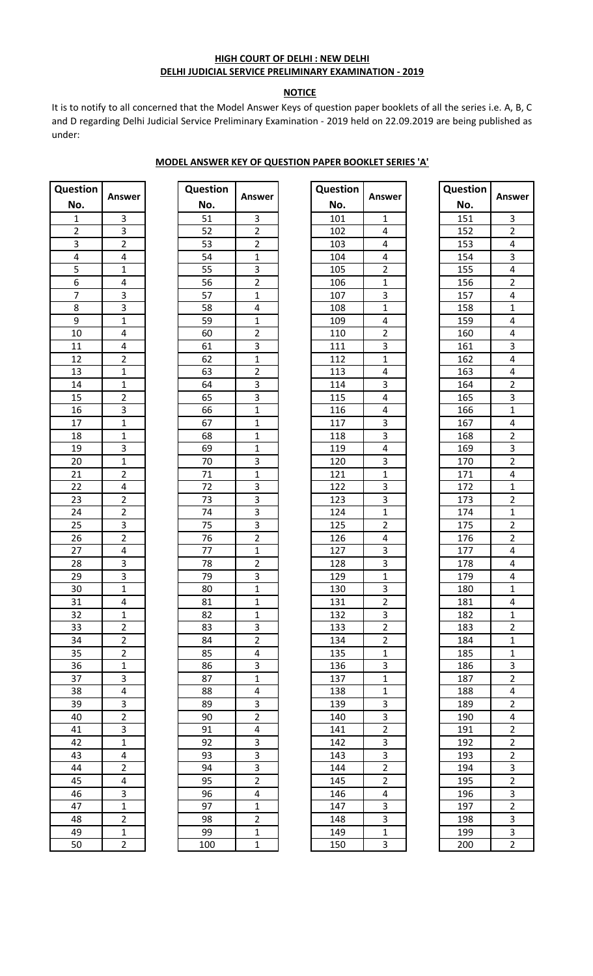#### **HIGH COURT OF DELHI : NEW DELHI DELHI JUDICIAL SERVICE PRELIMINARY EXAMINATION - 2019**

# **NOTICE**

It is to notify to all concerned that the Model Answer Keys of question paper booklets of all the series i.e. A, B, C and D regarding Delhi Judicial Service Preliminary Examination - 2019 held on 22.09.2019 are being published as under:

#### **MODEL ANSWER KEY OF QUESTION PAPER BOOKLET SERIES 'A'**

| <b>Question</b>                                                       |                                                                                                   |
|-----------------------------------------------------------------------|---------------------------------------------------------------------------------------------------|
| No.                                                                   | Answer                                                                                            |
| $\frac{1}{2}$ $\frac{2}{3}$ $\frac{4}{4}$ $\frac{5}{5}$ $\frac{6}{7}$ | 3                                                                                                 |
|                                                                       |                                                                                                   |
|                                                                       | $\frac{3}{2}$                                                                                     |
|                                                                       | $\frac{4}{1}$                                                                                     |
|                                                                       |                                                                                                   |
|                                                                       | 4                                                                                                 |
|                                                                       |                                                                                                   |
| $\overline{8}$                                                        |                                                                                                   |
| $\overline{9}$                                                        | $\frac{3}{3}$<br>$\frac{1}{4}$<br>$\frac{4}{4}$                                                   |
| $\overline{10}$                                                       |                                                                                                   |
| $\overline{11}$                                                       |                                                                                                   |
| $\overline{12}$                                                       | $\frac{2}{1}$ $\frac{1}{2}$                                                                       |
| $\overline{13}$                                                       |                                                                                                   |
|                                                                       |                                                                                                   |
| $\frac{14}{15}$                                                       |                                                                                                   |
| $\overline{16}$                                                       | $\frac{3}{1}$                                                                                     |
| $\overline{17}$                                                       |                                                                                                   |
| $\overline{18}$                                                       |                                                                                                   |
|                                                                       |                                                                                                   |
| $\frac{19}{20}$                                                       | $\frac{1}{3}$ $\frac{1}{2}$                                                                       |
|                                                                       |                                                                                                   |
| $\frac{21}{22}$                                                       |                                                                                                   |
|                                                                       | $\frac{4}{2}$                                                                                     |
| $\frac{23}{24}$                                                       |                                                                                                   |
| $\overline{25}$                                                       |                                                                                                   |
| $\overline{26}$                                                       | $\frac{3}{2}$                                                                                     |
| $\overline{27}$                                                       | 4                                                                                                 |
| 28                                                                    | $\overline{3}$                                                                                    |
| 29                                                                    | $\overline{3}$                                                                                    |
| $\overline{30}$                                                       | $\overline{1}$                                                                                    |
| $\overline{31}$                                                       | $\overline{4}$                                                                                    |
| $\overline{32}$                                                       | 1                                                                                                 |
| 33                                                                    |                                                                                                   |
| $\overline{34}$                                                       |                                                                                                   |
| $\overline{35}$                                                       |                                                                                                   |
| $\overline{36}$                                                       |                                                                                                   |
| $\overline{37}$                                                       |                                                                                                   |
| 38                                                                    |                                                                                                   |
| 39                                                                    |                                                                                                   |
|                                                                       |                                                                                                   |
| $\frac{40}{41}$                                                       | $\frac{2}{2}$ $\frac{2}{2}$ $\frac{1}{4}$ $\frac{3}{8}$ $\frac{2}{2}$ $\frac{3}{3}$ $\frac{1}{1}$ |
|                                                                       |                                                                                                   |
| $\frac{42}{43}$                                                       |                                                                                                   |
|                                                                       |                                                                                                   |
|                                                                       |                                                                                                   |
| $\frac{44}{45}$<br>$\frac{45}{46}$                                    |                                                                                                   |
|                                                                       |                                                                                                   |
| $\frac{47}{48}$                                                       |                                                                                                   |
| 49                                                                    |                                                                                                   |
| 50                                                                    | $\frac{1}{4}$ $\frac{2}{3}$ $\frac{1}{1}$ $\frac{2}{2}$ $\frac{1}{2}$                             |
|                                                                       |                                                                                                   |

| <b>Question</b>                                       | Answer                                                                              |
|-------------------------------------------------------|-------------------------------------------------------------------------------------|
| No.                                                   |                                                                                     |
| 51                                                    |                                                                                     |
| $\overline{52}$                                       | $\frac{3}{2}$ $\frac{2}{2}$ $\frac{1}{3}$ $\frac{3}{2}$ $\frac{1}{4}$ $\frac{4}{1}$ |
| $\frac{1}{53}$                                        |                                                                                     |
| $\overline{5}$ 4                                      |                                                                                     |
| $\overline{55}$                                       |                                                                                     |
| 56                                                    |                                                                                     |
| $\overline{57}$                                       |                                                                                     |
| 58                                                    |                                                                                     |
| $\overline{59}$                                       |                                                                                     |
| $\overline{60}$                                       | $\frac{1}{2}$ $\frac{3}{2}$ $\frac{1}{3}$ $\frac{3}{2}$ $\frac{1}{1}$               |
| $\overline{61}$                                       |                                                                                     |
| $\overline{62}$                                       |                                                                                     |
| 63                                                    |                                                                                     |
| 64                                                    |                                                                                     |
| $\overline{65}$                                       |                                                                                     |
| 66                                                    |                                                                                     |
| $\overline{67}$                                       | $\overline{1}$                                                                      |
| 68                                                    | $\overline{1}$                                                                      |
| 69                                                    | $\overline{1}$                                                                      |
|                                                       | $\overline{3}$                                                                      |
| $\frac{70}{71}$<br>$\frac{71}{72}$<br>$\frac{73}{73}$ |                                                                                     |
|                                                       |                                                                                     |
|                                                       |                                                                                     |
| $\frac{1}{4}$                                         |                                                                                     |
| $\overline{75}$                                       |                                                                                     |
| $\frac{1}{16}$                                        | $\frac{1}{3}$ $\frac{3}{3}$ $\frac{3}{2}$ $\frac{2}{1}$                             |
| $\overline{77}$                                       |                                                                                     |
| $\overline{78}$                                       | $\overline{2}$                                                                      |
| 79                                                    | $\overline{3}$                                                                      |
| 80                                                    | $\overline{1}$                                                                      |
| 81                                                    | $\overline{1}$                                                                      |
| 82                                                    | 1                                                                                   |
| 83                                                    | 3                                                                                   |
| 84                                                    | $\overline{2}$                                                                      |
| 85                                                    | 4                                                                                   |
| 86                                                    | $\overline{\mathbf{3}}$                                                             |
| 87                                                    | $\overline{1}$                                                                      |
| 88                                                    | $\overline{4}$                                                                      |
| 89                                                    | $\overline{3}$                                                                      |
| 90                                                    |                                                                                     |
| $\overline{91}$                                       | $\frac{2}{4}$ $\frac{4}{3}$                                                         |
| 92                                                    |                                                                                     |
| 93                                                    | $\overline{3}$                                                                      |
| $\overline{94}$                                       | $\overline{3}$                                                                      |
| .<br>95                                               | $\overline{2}$                                                                      |
| 96                                                    | $\overline{4}$                                                                      |
| 97                                                    | $\overline{1}$                                                                      |
|                                                       |                                                                                     |
| 98                                                    | $\overline{2}$<br>$\overline{\mathbf{1}}$                                           |
| 99<br>100                                             | $\overline{1}$                                                                      |
|                                                       |                                                                                     |

| estion            |                | Question |                | Question |                | Question |                          |
|-------------------|----------------|----------|----------------|----------|----------------|----------|--------------------------|
| ٧o.               | <b>Answer</b>  | No.      | <b>Answer</b>  | No.      | Answer         | No.      | Ansı                     |
| $1\,$             | 3              | 51       | 3              | 101      | $\mathbf{1}$   | 151      | 3                        |
| $\overline{2}$    | 3              | 52       | $\overline{2}$ | 102      | $\overline{4}$ | 152      | $\overline{a}$           |
| $\mathbf{3}$      | $\overline{2}$ | 53       | $\overline{2}$ | 103      | $\overline{4}$ | 153      | 4                        |
| $\overline{4}$    | 4              | 54       | $\mathbf{1}$   | 104      | 4              | 154      | 3                        |
|                   | 1              | 55       | 3              | 105      | $\overline{2}$ | 155      | 4                        |
| $\boldsymbol{6}$  | 4              | 56       | $\overline{2}$ | 106      | $\mathbf{1}$   | 156      | $\overline{\mathbf{c}}$  |
| $\overline{7}$    | 3              | 57       | $\mathbf{1}$   | 107      | 3              | 157      | $\overline{\mathcal{L}}$ |
| $\,8\,$           | 3              | 58       | 4              | 108      | $\mathbf{1}$   | 158      | $\mathbf{1}$             |
| $\overline{9}$    | $\mathbf{1}$   | 59       | $\mathbf{1}$   | 109      | 4              | 159      | $\overline{\mathcal{L}}$ |
| 10                | 4              | 60       | $\overline{2}$ | 110      | $\overline{2}$ | 160      | 4                        |
| 11                | 4              | 61       | 3              | 111      | 3              | 161      | 3                        |
| 12                | $\overline{2}$ | 62       | $\mathbf{1}$   | 112      | $\mathbf{1}$   | 162      | 4                        |
| 13                | $\mathbf{1}$   | 63       | $\overline{2}$ | 113      | 4              | 163      | 4                        |
| 14                | 1              | 64       | 3              | 114      | 3              | 164      | $\overline{\mathbf{c}}$  |
| 15                | $\overline{2}$ | 65       | 3              | 115      | 4              | 165      | 3                        |
| 16                | 3              | 66       | $\mathbf{1}$   | 116      | 4              | 166      | $\mathbf{1}$             |
| 17                | $\mathbf{1}$   | 67       | $\mathbf{1}$   | 117      | 3              | 167      | 4                        |
| 18                | $\mathbf{1}$   | 68       | $\mathbf{1}$   | 118      | 3              | 168      | $\overline{\mathbf{c}}$  |
| 19                | 3              | 69       | $\mathbf{1}$   | 119      | 4              | 169      | 3                        |
| $\overline{20}$   | 1              | 70       | 3              | 120      | 3              | 170      | $\overline{2}$           |
| 21                | $\overline{2}$ | 71       | $\mathbf{1}$   | 121      | $\mathbf{1}$   | 171      | 4                        |
| $22 \overline{)}$ | 4              | 72       | 3              | 122      | 3              | 172      | $\mathbf{1}$             |
|                   | $\overline{2}$ | 73       | 3              | 123      | 3              | 173      | $\overline{\mathbf{c}}$  |
| $\frac{23}{24}$   | $\overline{2}$ | 74       | 3              | 124      | $\mathbf{1}$   | 174      | $\mathbf{1}$             |
| $\overline{25}$   | 3              | 75       | 3              | 125      | $\overline{2}$ | 175      | $\overline{\mathbf{c}}$  |
| $\overline{26}$   | $\overline{2}$ | 76       | $\overline{2}$ | 126      | $\overline{4}$ | 176      | $\overline{a}$           |
| 27                | 4              | 77       | $\mathbf{1}$   | 127      | 3              | 177      | $\overline{\mathcal{L}}$ |
| 28                | 3              | 78       | $\overline{2}$ | 128      | 3              | 178      | 4                        |
| $\overline{29}$   | 3              | 79       | 3              | 129      | $\mathbf{1}$   | 179      | $\overline{\mathcal{L}}$ |
| 30                | $\mathbf{1}$   | 80       | $\mathbf{1}$   | 130      | 3              | 180      | $\mathbf{1}$             |
| 31                | 4              | 81       | $\mathbf{1}$   | 131      | $\overline{2}$ | 181      | 4                        |
| 32                | $\mathbf{1}$   | 82       | $\mathbf{1}$   | 132      | 3              | 182      | $\mathbf{1}$             |
| 33                | $\overline{2}$ | 83       | 3              | 133      | $\overline{2}$ | 183      | $\overline{c}$           |
| 34                | $\overline{2}$ | 84       | $\overline{2}$ | 134      | $\overline{2}$ | 184      | $\mathbf{1}$             |
| 35                | $\overline{2}$ | 85       | 4              | 135      | $\mathbf{1}$   | 185      | 1                        |
| 36                | 1              | 86       | 3              | 136      | 3              | 186      | 3                        |
| 37                | 3              | 87       | 1              | 137      | $\mathbf{1}$   | 187      | $\overline{\mathbf{c}}$  |
| 38                | 4              | 88       | 4              | 138      | $\mathbf{1}$   | 188      | 4                        |
| 39                | 3              | 89       | 3              | 139      | 3              | 189      | $\overline{\mathbf{c}}$  |
| 40                | $\overline{2}$ | 90       | $\overline{2}$ | 140      | 3              | 190      | 4                        |
| 41                | 3              | 91       | 4              | 141      | $\overline{2}$ | 191      | $\overline{\mathbf{c}}$  |
| 42                | 1              | 92       | 3              | 142      | 3              | 192      | $\overline{\mathbf{c}}$  |
| 43                | 4              | 93       | 3              | 143      | 3              | 193      | $\overline{\mathbf{c}}$  |
| 44                | $\overline{2}$ | 94       | 3              | 144      | $\overline{2}$ | 194      | 3                        |
| <u>45</u>         | 4              | 95       | $\overline{2}$ | 145      | $\overline{2}$ | 195      | $\overline{\mathbf{c}}$  |
| 46                | 3              | 96       | 4              | 146      | 4              | 196      | 3                        |
| 47                | $\mathbf{1}$   | 97       | $\mathbf{1}$   | 147      | 3              | 197      | $\overline{\mathbf{c}}$  |
| 48                | $\overline{2}$ | 98       | $\overline{2}$ | 148      | 3              | 198      | 3                        |
| 49                | $\mathbf{1}$   | 99       | $\mathbf{1}$   | 149      | $\mathbf{1}$   | 199      | 3                        |
| 50                | $\overline{2}$ | 100      | $\mathbf{1}$   | 150      | 3              | 200      | $\overline{2}$           |

| <b>Question</b>  |                                                         |
|------------------|---------------------------------------------------------|
| No.              | Answer                                                  |
| 151              | 3                                                       |
| $15\overline{2}$ | $\overline{2}$                                          |
| 153              | 4                                                       |
| 154              | $\overline{3}$                                          |
| 155              | 4                                                       |
| 156              | $\overline{2}$                                          |
| 157              | $\overline{4}$                                          |
| 158              | $\mathbf{1}$                                            |
| 159              | $\overline{4}$                                          |
| 160              | 4                                                       |
| 161              | $\overline{\mathbf{3}}$                                 |
| 162              | $\overline{4}$                                          |
| 163              | $\overline{4}$                                          |
| 164              | $\overline{2}$                                          |
| 165              | $\overline{3}$                                          |
| 166              | $\overline{1}$                                          |
| 167              | $\overline{a}$                                          |
| 168              | $\frac{1}{2}$                                           |
| 169              |                                                         |
| 170              | $\frac{3}{2}$                                           |
| 171              | $\overline{4}$                                          |
| 172              | $\overline{1}$                                          |
| 173              | $\overline{2}$                                          |
| 174              | $\overline{1}$                                          |
| 175              | $\overline{2}$                                          |
| $\frac{1}{176}$  | $\overline{\mathbf{c}}$                                 |
| 177              | 4                                                       |
| 178              | 4                                                       |
| 179              | 4                                                       |
| 180              | $\overline{1}$                                          |
| 181              | 4                                                       |
| <u> 182</u>      | $\overline{1}$                                          |
| 183              | $\overline{2}$                                          |
| 184              | $\overline{1}$                                          |
| 185              | $\overline{1}$                                          |
| 186              | $\overline{3}$                                          |
| 187              | $\overline{2}$                                          |
| 188              | $\overline{4}$                                          |
| <u>189</u>       | $\overline{2}$                                          |
| 190              |                                                         |
| $\overline{191}$ | $\frac{4}{2}$ $\frac{2}{2}$ $\frac{2}{3}$ $\frac{3}{2}$ |
| <u> 192</u>      |                                                         |
| 193              |                                                         |
| 194              |                                                         |
| 195              |                                                         |
| 196              |                                                         |
| 197              | $\frac{3}{2}$ $\frac{2}{3}$                             |
| 198              |                                                         |
| 199              |                                                         |
| 200              | $\overline{2}$                                          |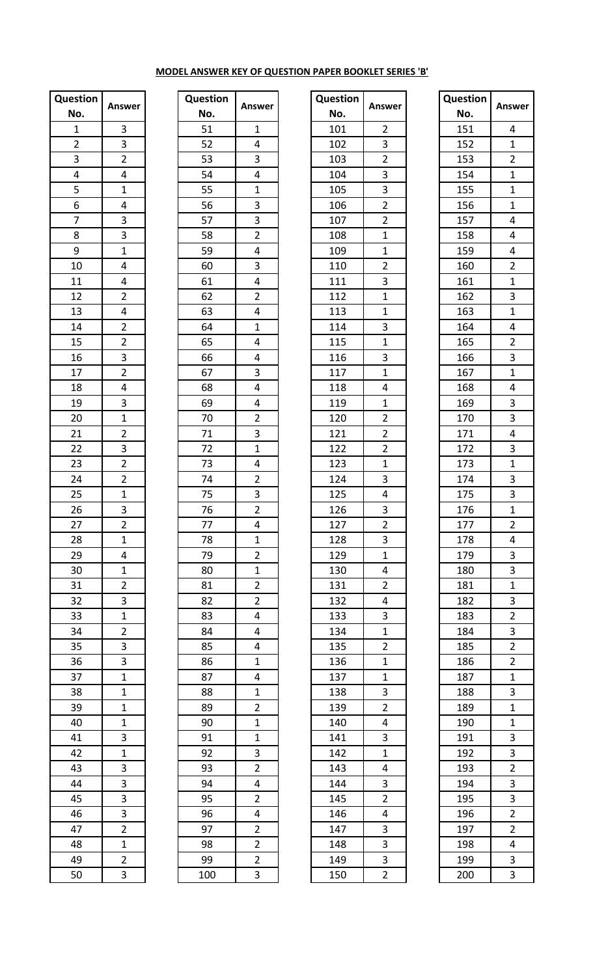## **MODEL ANSWER KEY OF QUESTION PAPER BOOKLET SERIES 'B'**

| Question                           |                                                         |
|------------------------------------|---------------------------------------------------------|
| No.                                | Answer                                                  |
| $\mathbf{1}$                       | $\overline{\mathbf{3}}$                                 |
| $\overline{2}$                     |                                                         |
| $\overline{3}$                     | $\frac{3}{2}$                                           |
| $\overline{4}$                     | $\overline{4}$                                          |
| $\overline{5}$                     | $\overline{1}$                                          |
| 6                                  |                                                         |
| $\overline{7}$                     | $\frac{4}{3}$                                           |
| $\overline{8}$                     | $\overline{3}$                                          |
| 9                                  | $\overline{1}$                                          |
| 10                                 |                                                         |
| $\overline{11}$                    | $\frac{4}{4}$ $\frac{4}{2}$ $\frac{4}{2}$ $\frac{2}{2}$ |
| 12                                 |                                                         |
| 13                                 |                                                         |
| 14                                 |                                                         |
| 15                                 |                                                         |
| 16                                 |                                                         |
| $\overline{17}$                    | $\frac{3}{2}$                                           |
| 18                                 | $\overline{4}$                                          |
| 19                                 | $\overline{3}$                                          |
| 20                                 |                                                         |
| $\overline{21}$                    | $\frac{1}{2}$                                           |
| $\overline{22}$                    |                                                         |
|                                    | $\frac{1}{2}$                                           |
| 23                                 |                                                         |
| $\overline{24}$<br>$\overline{25}$ | $\overline{2}$<br>$\overline{1}$                        |
|                                    |                                                         |
| 26                                 | $\overline{3}$                                          |
| 27                                 | $\overline{c}$                                          |
| 28                                 | $\mathbf{1}$                                            |
| 29                                 | $\overline{4}$                                          |
| $\overline{30}$                    | $\frac{1}{1}$                                           |
| 31                                 | $\frac{2}{3}$ $\frac{1}{2}$                             |
| $\overline{32}$                    |                                                         |
| $\overline{33}$                    |                                                         |
| $\frac{1}{34}$                     |                                                         |
| 35                                 | $\frac{1}{3}$                                           |
| $\overline{36}$                    |                                                         |
| $\overline{37}$                    | $\frac{1}{1}$                                           |
| $\overline{38}$                    |                                                         |
| 39                                 | $\overline{1}$                                          |
| $\overline{40}$                    | $\overline{1}$                                          |
| 41                                 | $\overline{3}$                                          |
| $\overline{42}$                    | $\overline{1}$                                          |
| 43                                 | $\overline{3}$                                          |
| 44                                 |                                                         |
| $\overline{45}$                    | $\frac{3}{3}$ $\frac{3}{2}$                             |
| $\overline{46}$                    |                                                         |
| 47                                 |                                                         |
| $\overline{48}$                    | $\overline{1}$                                          |
| 49                                 | $\overline{2}$                                          |
| -<br>50                            | $\overline{3}$                                          |

| Question                                                        |                                                                                                                                                                         |
|-----------------------------------------------------------------|-------------------------------------------------------------------------------------------------------------------------------------------------------------------------|
| No.                                                             | Ansv                                                                                                                                                                    |
|                                                                 |                                                                                                                                                                         |
| $\frac{1}{52}$                                                  |                                                                                                                                                                         |
|                                                                 |                                                                                                                                                                         |
| $\frac{53}{54}$<br>$\frac{55}{56}$                              |                                                                                                                                                                         |
|                                                                 |                                                                                                                                                                         |
|                                                                 |                                                                                                                                                                         |
|                                                                 |                                                                                                                                                                         |
| $\frac{57}{58}$                                                 |                                                                                                                                                                         |
|                                                                 |                                                                                                                                                                         |
| 60                                                              |                                                                                                                                                                         |
| $\underline{61}$                                                |                                                                                                                                                                         |
| $\overline{62}$                                                 |                                                                                                                                                                         |
| $\overline{63}$                                                 |                                                                                                                                                                         |
| $\frac{64}{1}$                                                  |                                                                                                                                                                         |
| 65                                                              |                                                                                                                                                                         |
| 66                                                              |                                                                                                                                                                         |
| $rac{67}{1}$                                                    |                                                                                                                                                                         |
| 68                                                              |                                                                                                                                                                         |
| $\frac{69}{2}$                                                  |                                                                                                                                                                         |
|                                                                 |                                                                                                                                                                         |
|                                                                 |                                                                                                                                                                         |
|                                                                 |                                                                                                                                                                         |
|                                                                 |                                                                                                                                                                         |
| $\frac{70}{71}$ $\frac{71}{72}$ $\frac{73}{74}$ $\frac{74}{75}$ | $\frac{1}{4}$ $\frac{4}{3}$ $\frac{4}{4}$ $\frac{1}{1}$ $\frac{3}{3}$ $\frac{3}{4}$ $\frac{2}{3}$ $\frac{4}{4}$ $\frac{1}{4}$ $\frac{4}{4}$ $\frac{2}{2}$ $\frac{3}{3}$ |
|                                                                 |                                                                                                                                                                         |
| $\overline{76}$                                                 | $\overline{2}$                                                                                                                                                          |
| 77                                                              | 4                                                                                                                                                                       |
| 78                                                              |                                                                                                                                                                         |
| 79                                                              | $\frac{1}{2}$ $\frac{2}{1}$ $\frac{2}{2}$ $\frac{2}{2}$                                                                                                                 |
| 80                                                              |                                                                                                                                                                         |
| 81                                                              |                                                                                                                                                                         |
| 82                                                              |                                                                                                                                                                         |
| 83                                                              |                                                                                                                                                                         |
| 84                                                              | $\frac{4}{4}$                                                                                                                                                           |
| 85                                                              | $\overline{4}$                                                                                                                                                          |
| 86                                                              | $\overline{1}$                                                                                                                                                          |
| 87                                                              | 4                                                                                                                                                                       |
| 88                                                              | $\overline{1}$                                                                                                                                                          |
| 89                                                              | $\overline{2}$                                                                                                                                                          |
| 90                                                              | $\frac{1}{1}$                                                                                                                                                           |
| 91                                                              |                                                                                                                                                                         |
| 92                                                              |                                                                                                                                                                         |
| 93                                                              | $\frac{1}{3}$ $\frac{2}{4}$ $\frac{4}{2}$ $\frac{4}{4}$ $\frac{2}{2}$                                                                                                   |
| 94                                                              |                                                                                                                                                                         |
| $\overline{95}$                                                 |                                                                                                                                                                         |
| 96                                                              |                                                                                                                                                                         |
|                                                                 |                                                                                                                                                                         |
| 97                                                              | $\overline{2}$                                                                                                                                                          |
| 98<br>99                                                        |                                                                                                                                                                         |
|                                                                 | $\overline{2}$<br>3                                                                                                                                                     |
| 100                                                             |                                                                                                                                                                         |

| estion         |                | Question |                | Question |                | Question |                         |
|----------------|----------------|----------|----------------|----------|----------------|----------|-------------------------|
| ٧o.            | <b>Answer</b>  | No.      | <b>Answer</b>  | No.      | <b>Answer</b>  | No.      | <b>Ansy</b>             |
| $\mathbf{1}$   | 3              | 51       | $\mathbf{1}$   | 101      | $\overline{2}$ | 151      | 4                       |
| $\overline{2}$ | 3              | 52       | 4              | 102      | 3              | 152      | $\mathbf 1$             |
| $\overline{3}$ | $\overline{2}$ | 53       | 3              | 103      | $\overline{2}$ | 153      | $\overline{2}$          |
| $\overline{4}$ | 4              | 54       | 4              | 104      | 3              | 154      | $\mathbf{1}$            |
| 5              | $\mathbf 1$    | 55       | $\mathbf{1}$   | 105      | 3              | 155      | $\mathbf 1$             |
| 6              | 4              | 56       | 3              | 106      | $\overline{2}$ | 156      | $\mathbf{1}$            |
| $\overline{7}$ | 3              | 57       | 3              | 107      | $\overline{2}$ | 157      | 4                       |
| 8              | 3              | 58       | $\overline{2}$ | 108      | $1\,$          | 158      | 4                       |
| $\overline{9}$ | $\mathbf{1}$   | 59       | 4              | 109      | $\mathbf{1}$   | 159      | 4                       |
| 10             | 4              | 60       | 3              | 110      | $\overline{2}$ | 160      | $\overline{c}$          |
| 11             | 4              | 61       | $\overline{4}$ | 111      | 3              | 161      | $\mathbf 1$             |
| 12             | $\overline{2}$ | 62       | $\overline{2}$ | 112      | $\mathbf{1}$   | 162      | 3                       |
| 13             | 4              | 63       | 4              | 113      | $\mathbf{1}$   | 163      | $\mathbf{1}$            |
| 14             | $\overline{2}$ | 64       | $\mathbf{1}$   | 114      | 3              | 164      | 4                       |
| 15             | $\overline{2}$ | 65       | 4              | 115      | $\mathbf{1}$   | 165      | $\overline{c}$          |
| 16             | 3              | 66       | 4              | 116      | 3              | 166      | 3                       |
| 17             | $\overline{2}$ | 67       | 3              | 117      | $\mathbf{1}$   | 167      | $\mathbf{1}$            |
| 18             | 4              | 68       | 4              | 118      | 4              | 168      | 4                       |
| 19             | 3              | 69       | 4              | 119      | $\mathbf{1}$   | 169      | 3                       |
| 20             | $\mathbf{1}$   | 70       | $\overline{2}$ | 120      | $\overline{2}$ | 170      | 3                       |
| 21             | $\overline{2}$ | 71       | 3              | 121      | $\overline{2}$ | 171      | 4                       |
| 22             | 3              | 72       | $\mathbf{1}$   | 122      | $\overline{2}$ | 172      | 3                       |
| 23             | $\overline{2}$ | 73       | 4              | 123      | $\mathbf{1}$   | 173      | $\mathbf{1}$            |
| 24             | $\overline{2}$ | 74       | $\overline{2}$ | 124      | 3              | 174      | 3                       |
| 25             | $\mathbf{1}$   | 75       | 3              | 125      | 4              | 175      | 3                       |
| 26             | 3              | 76       | $\overline{2}$ | 126      | 3              | 176      | $\mathbf{1}$            |
| 27             | $\overline{2}$ | 77       | 4              | 127      | $\overline{2}$ | 177      | $\overline{\mathbf{c}}$ |
| 28             | $\mathbf{1}$   | 78       | $\mathbf{1}$   | 128      | 3              | 178      | 4                       |
| 29             | 4              | 79       | $\overline{2}$ | 129      | $\mathbf{1}$   | 179      | 3                       |
| 30             | $\mathbf{1}$   | 80       | $\mathbf{1}$   | 130      | 4              | 180      | 3                       |
| 31             | $\overline{2}$ | 81       | $\overline{2}$ | 131      | $\overline{2}$ | 181      | 1                       |
| 32             | 3              | 82       | $\overline{2}$ | 132      | 4              | 182      | 3                       |
| 33             | $\mathbf{1}$   | 83       | 4              | 133      | 3              | 183      | $\overline{2}$          |
| 34             | $\overline{2}$ | 84       | 4              | 134      | $\mathbf{1}$   | 184      | 3                       |
| 35             | 3              | 85       | 4              | 135      | $\overline{2}$ | 185      | $\overline{2}$          |
| 36             | 3              | 86       | $\mathbf{1}$   | 136      | $\mathbf{1}$   | 186      | $\overline{2}$          |
| 37             | $\mathbf{1}$   | 87       | 4              | 137      | $\mathbf{1}$   | 187      | $\mathbf{1}$            |
| 38             | $\mathbf{1}$   | 88       | $\mathbf{1}$   | 138      | 3              | 188      | 3                       |
| 39             | $\mathbf{1}$   | 89       | $\overline{2}$ | 139      | $\overline{2}$ | 189      | 1                       |
| 40             | $\mathbf{1}$   | 90       | $\mathbf 1$    | 140      | 4              | 190      | 1                       |
| 41             | 3              | 91       | $\mathbf{1}$   | 141      | 3              | 191      | 3                       |
| 42             | $\mathbf{1}$   | 92       | 3              | 142      | $\mathbf{1}$   | 192      | 3                       |
| 43             | 3              | 93       | $\overline{2}$ | 143      | 4              | 193      | $\overline{2}$          |
| 44             | 3              | 94       | 4              | 144      | 3              | 194      | 3                       |
| 45             | 3              | 95       | $\overline{2}$ | 145      | $\overline{2}$ | 195      | 3                       |
| 46             | 3              | 96       | 4              | 146      | 4              | 196      | $\overline{2}$          |
| 47             | $\overline{2}$ | 97       | $\overline{2}$ | 147      | 3              | 197      | $\overline{2}$          |
| 48             | $\mathbf{1}$   | 98       | $\overline{2}$ | 148      | 3              | 198      | 4                       |
| 49             | $\overline{2}$ | 99       | $\overline{2}$ | 149      | 3              | 199      | 3                       |
| 50             | 3              |          | 3              |          | $\overline{2}$ |          |                         |
|                |                | 100      |                | 150      |                | 200      | 3                       |

| No.<br>151<br>4<br>$\mathbf 1$<br>152<br>$\overline{2}$<br>153<br>154<br>$\overline{1}$<br>$\mathbf{1}$<br>155<br>$\mathbf{1}$<br>156<br>157<br>4<br>158<br>4<br>4<br>159<br>$\overline{c}$<br>160<br>$\overline{1}$<br>161<br>$\overline{3}$<br>162<br>$\mathbf{1}$<br>163<br>4<br>164<br>$\overline{2}$<br>165<br>$\overline{3}$<br>166<br>$\overline{1}$<br>167<br>4<br>168<br>3<br>169<br>3<br>170<br>4<br>171<br>$\overline{3}$<br>172<br>$\mathbf 1$<br>173<br>3<br>174<br>3<br>175<br>$\mathbf 1$<br>176<br>$\overline{c}$<br>177<br>178<br>4<br>$\frac{3}{3}$ $\frac{1}{2}$ $\frac{3}{2}$ $\frac{2}{2}$ $\frac{2}{2}$ $\frac{1}{3}$<br>179<br>180<br>181<br>182<br>183<br>184<br>185 | Answer         |
|----------------------------------------------------------------------------------------------------------------------------------------------------------------------------------------------------------------------------------------------------------------------------------------------------------------------------------------------------------------------------------------------------------------------------------------------------------------------------------------------------------------------------------------------------------------------------------------------------------------------------------------------------------------------------------------------|----------------|
|                                                                                                                                                                                                                                                                                                                                                                                                                                                                                                                                                                                                                                                                                              |                |
|                                                                                                                                                                                                                                                                                                                                                                                                                                                                                                                                                                                                                                                                                              |                |
|                                                                                                                                                                                                                                                                                                                                                                                                                                                                                                                                                                                                                                                                                              |                |
|                                                                                                                                                                                                                                                                                                                                                                                                                                                                                                                                                                                                                                                                                              |                |
|                                                                                                                                                                                                                                                                                                                                                                                                                                                                                                                                                                                                                                                                                              |                |
|                                                                                                                                                                                                                                                                                                                                                                                                                                                                                                                                                                                                                                                                                              |                |
|                                                                                                                                                                                                                                                                                                                                                                                                                                                                                                                                                                                                                                                                                              |                |
|                                                                                                                                                                                                                                                                                                                                                                                                                                                                                                                                                                                                                                                                                              |                |
|                                                                                                                                                                                                                                                                                                                                                                                                                                                                                                                                                                                                                                                                                              |                |
|                                                                                                                                                                                                                                                                                                                                                                                                                                                                                                                                                                                                                                                                                              |                |
|                                                                                                                                                                                                                                                                                                                                                                                                                                                                                                                                                                                                                                                                                              |                |
|                                                                                                                                                                                                                                                                                                                                                                                                                                                                                                                                                                                                                                                                                              |                |
|                                                                                                                                                                                                                                                                                                                                                                                                                                                                                                                                                                                                                                                                                              |                |
|                                                                                                                                                                                                                                                                                                                                                                                                                                                                                                                                                                                                                                                                                              |                |
|                                                                                                                                                                                                                                                                                                                                                                                                                                                                                                                                                                                                                                                                                              |                |
|                                                                                                                                                                                                                                                                                                                                                                                                                                                                                                                                                                                                                                                                                              |                |
|                                                                                                                                                                                                                                                                                                                                                                                                                                                                                                                                                                                                                                                                                              |                |
|                                                                                                                                                                                                                                                                                                                                                                                                                                                                                                                                                                                                                                                                                              |                |
|                                                                                                                                                                                                                                                                                                                                                                                                                                                                                                                                                                                                                                                                                              |                |
|                                                                                                                                                                                                                                                                                                                                                                                                                                                                                                                                                                                                                                                                                              |                |
|                                                                                                                                                                                                                                                                                                                                                                                                                                                                                                                                                                                                                                                                                              |                |
|                                                                                                                                                                                                                                                                                                                                                                                                                                                                                                                                                                                                                                                                                              |                |
|                                                                                                                                                                                                                                                                                                                                                                                                                                                                                                                                                                                                                                                                                              |                |
|                                                                                                                                                                                                                                                                                                                                                                                                                                                                                                                                                                                                                                                                                              |                |
|                                                                                                                                                                                                                                                                                                                                                                                                                                                                                                                                                                                                                                                                                              |                |
|                                                                                                                                                                                                                                                                                                                                                                                                                                                                                                                                                                                                                                                                                              |                |
|                                                                                                                                                                                                                                                                                                                                                                                                                                                                                                                                                                                                                                                                                              |                |
|                                                                                                                                                                                                                                                                                                                                                                                                                                                                                                                                                                                                                                                                                              |                |
|                                                                                                                                                                                                                                                                                                                                                                                                                                                                                                                                                                                                                                                                                              |                |
|                                                                                                                                                                                                                                                                                                                                                                                                                                                                                                                                                                                                                                                                                              |                |
|                                                                                                                                                                                                                                                                                                                                                                                                                                                                                                                                                                                                                                                                                              |                |
|                                                                                                                                                                                                                                                                                                                                                                                                                                                                                                                                                                                                                                                                                              |                |
|                                                                                                                                                                                                                                                                                                                                                                                                                                                                                                                                                                                                                                                                                              |                |
|                                                                                                                                                                                                                                                                                                                                                                                                                                                                                                                                                                                                                                                                                              |                |
|                                                                                                                                                                                                                                                                                                                                                                                                                                                                                                                                                                                                                                                                                              |                |
|                                                                                                                                                                                                                                                                                                                                                                                                                                                                                                                                                                                                                                                                                              |                |
|                                                                                                                                                                                                                                                                                                                                                                                                                                                                                                                                                                                                                                                                                              |                |
| 186                                                                                                                                                                                                                                                                                                                                                                                                                                                                                                                                                                                                                                                                                          |                |
| 187                                                                                                                                                                                                                                                                                                                                                                                                                                                                                                                                                                                                                                                                                          |                |
| 188                                                                                                                                                                                                                                                                                                                                                                                                                                                                                                                                                                                                                                                                                          |                |
| 189                                                                                                                                                                                                                                                                                                                                                                                                                                                                                                                                                                                                                                                                                          |                |
| 190                                                                                                                                                                                                                                                                                                                                                                                                                                                                                                                                                                                                                                                                                          |                |
| $\frac{1}{1}$ $\frac{1}{3}$ $\frac{3}{3}$ $\frac{2}{3}$ $\frac{3}{3}$ $\frac{2}{2}$ $\frac{2}{3}$<br>191                                                                                                                                                                                                                                                                                                                                                                                                                                                                                                                                                                                     |                |
| 192                                                                                                                                                                                                                                                                                                                                                                                                                                                                                                                                                                                                                                                                                          |                |
| 193                                                                                                                                                                                                                                                                                                                                                                                                                                                                                                                                                                                                                                                                                          |                |
| 194                                                                                                                                                                                                                                                                                                                                                                                                                                                                                                                                                                                                                                                                                          |                |
| 195                                                                                                                                                                                                                                                                                                                                                                                                                                                                                                                                                                                                                                                                                          |                |
| 196                                                                                                                                                                                                                                                                                                                                                                                                                                                                                                                                                                                                                                                                                          |                |
| 197                                                                                                                                                                                                                                                                                                                                                                                                                                                                                                                                                                                                                                                                                          |                |
| $\overline{4}$<br>198                                                                                                                                                                                                                                                                                                                                                                                                                                                                                                                                                                                                                                                                        |                |
|                                                                                                                                                                                                                                                                                                                                                                                                                                                                                                                                                                                                                                                                                              |                |
| 199<br>$\overline{3}$<br>200                                                                                                                                                                                                                                                                                                                                                                                                                                                                                                                                                                                                                                                                 | $\overline{3}$ |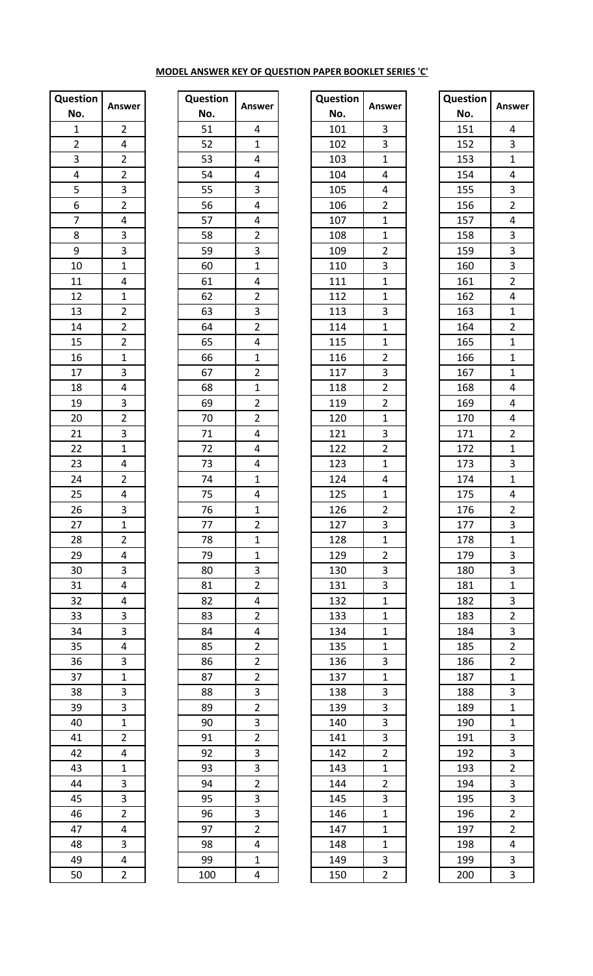## **MODEL ANSWER KEY OF QUESTION PAPER BOOKLET SERIES 'C'**

| <b>Question</b>             |                                                                                      |
|-----------------------------|--------------------------------------------------------------------------------------|
| No.                         | Answer                                                                               |
| $\overline{1}$              | $\overline{2}$                                                                       |
|                             |                                                                                      |
| $\frac{2}{3}$ $\frac{4}{5}$ | $\frac{4}{2}$                                                                        |
|                             |                                                                                      |
|                             | $\frac{2}{3}$ $\frac{2}{2}$                                                          |
| $\overline{6}$              |                                                                                      |
| $\overline{7}$              |                                                                                      |
| $\overline{8}$              |                                                                                      |
| 9                           |                                                                                      |
| $\overline{10}$             | $\frac{14}{3}$ $\frac{3}{1}$ $\frac{1}{4}$ $\frac{1}{2}$ $\frac{2}{2}$ $\frac{2}{2}$ |
| $\overline{11}$             |                                                                                      |
| 12                          |                                                                                      |
| 13                          |                                                                                      |
| $\overline{14}$             |                                                                                      |
| 15                          |                                                                                      |
| $\overline{16}$             |                                                                                      |
| $\overline{17}$             | $\frac{1}{3}$                                                                        |
| 18                          |                                                                                      |
| 19                          |                                                                                      |
| 20                          |                                                                                      |
| $\overline{21}$             |                                                                                      |
| $\overline{22}$             | $\frac{3}{2}$ $\frac{2}{3}$ $\frac{1}{1}$                                            |
| 23                          |                                                                                      |
| 24                          | $\frac{4}{2}$                                                                        |
| 25                          | $\overline{4}$                                                                       |
| 26                          | $\overline{3}$                                                                       |
| 27                          | $\mathbf{1}$                                                                         |
| 28                          | $\overline{c}$                                                                       |
| 29                          | $\overline{4}$                                                                       |
| 30                          | $\overline{3}$                                                                       |
|                             | $\overline{4}$                                                                       |
| 31<br>32                    |                                                                                      |
| $\overline{33}$             | $\frac{4}{3}$                                                                        |
| $\frac{1}{34}$              |                                                                                      |
| $\overline{35}$             | $\frac{3}{4}$                                                                        |
| $\overline{36}$             |                                                                                      |
| $\frac{1}{37}$              | 3                                                                                    |
|                             | $\frac{1}{3}$                                                                        |
| 38                          |                                                                                      |
| 39                          | $\overline{1}$                                                                       |
| 40                          |                                                                                      |
| 41                          | $\frac{1}{2}$                                                                        |
| $\overline{42}$             | $\overline{4}$                                                                       |
| $\overline{43}$             | $\overline{1}$                                                                       |
| $\frac{44}{45}$             | $\frac{3}{3}$                                                                        |
|                             |                                                                                      |
| $\overline{46}$             | $\overline{2}$                                                                       |
| 47                          | $\overline{4}$                                                                       |
| 48                          | 3                                                                                    |
| 49                          | $\overline{\mathbf{r}}$                                                              |
| 50                          | $\overline{2}$                                                                       |

| Question                                                        |                                                                                                                                                                         |
|-----------------------------------------------------------------|-------------------------------------------------------------------------------------------------------------------------------------------------------------------------|
| No.                                                             | Answer                                                                                                                                                                  |
| 51                                                              | 4                                                                                                                                                                       |
| $\overline{52}$                                                 | $\overline{1}$                                                                                                                                                          |
| 53                                                              | $\overline{4}$                                                                                                                                                          |
| $\frac{54}{55}$                                                 | $\frac{1}{4}$                                                                                                                                                           |
|                                                                 | $\overline{3}$                                                                                                                                                          |
| 56                                                              |                                                                                                                                                                         |
|                                                                 |                                                                                                                                                                         |
| $\frac{57}{58}$                                                 |                                                                                                                                                                         |
| $\overline{59}$                                                 |                                                                                                                                                                         |
| 60                                                              |                                                                                                                                                                         |
| 61                                                              | $\frac{4}{4}$ $\frac{4}{2}$ $\frac{3}{1}$ $\frac{1}{4}$ $\frac{4}{2}$ $\frac{3}{2}$ $\frac{2}{4}$ $\frac{4}{1}$ $\frac{1}{2}$ $\frac{1}{2}$ $\frac{1}{2}$ $\frac{2}{4}$ |
| 62                                                              |                                                                                                                                                                         |
| 63                                                              |                                                                                                                                                                         |
| 64                                                              |                                                                                                                                                                         |
| 65                                                              |                                                                                                                                                                         |
| 66                                                              |                                                                                                                                                                         |
| 67                                                              |                                                                                                                                                                         |
| 68                                                              |                                                                                                                                                                         |
| 69                                                              |                                                                                                                                                                         |
|                                                                 |                                                                                                                                                                         |
|                                                                 |                                                                                                                                                                         |
|                                                                 | $\overline{4}$                                                                                                                                                          |
|                                                                 | $\overline{4}$                                                                                                                                                          |
| $\frac{70}{71}$ $\frac{71}{72}$ $\frac{73}{74}$ $\frac{74}{75}$ | $\overline{1}$                                                                                                                                                          |
|                                                                 | 4                                                                                                                                                                       |
| 76                                                              | $\mathbf{1}$                                                                                                                                                            |
| 77                                                              |                                                                                                                                                                         |
| 78                                                              | $\overline{c}$<br>$\frac{1}{1}$                                                                                                                                         |
| 79                                                              | $\overline{1}$                                                                                                                                                          |
| 80                                                              |                                                                                                                                                                         |
| 81                                                              | $\frac{3}{2}$                                                                                                                                                           |
| 82                                                              | $\overline{4}$                                                                                                                                                          |
| 83                                                              |                                                                                                                                                                         |
| 84                                                              |                                                                                                                                                                         |
| 85                                                              |                                                                                                                                                                         |
| 86                                                              |                                                                                                                                                                         |
| 87                                                              |                                                                                                                                                                         |
|                                                                 |                                                                                                                                                                         |
| 88<br>89                                                        |                                                                                                                                                                         |
| 90                                                              |                                                                                                                                                                         |
|                                                                 |                                                                                                                                                                         |
| $\frac{1}{2}$                                                   |                                                                                                                                                                         |
| -<br>92                                                         | $\frac{2}{4}$ $\frac{4}{2}$ $\frac{2}{2}$ $\frac{2}{3}$ $\frac{3}{2}$ $\frac{2}{3}$ $\frac{3}{3}$ $\frac{2}{3}$ $\frac{3}{3}$                                           |
| 93                                                              |                                                                                                                                                                         |
| 94<br>$\overline{95}$                                           |                                                                                                                                                                         |
|                                                                 |                                                                                                                                                                         |
| $\overline{96}$                                                 |                                                                                                                                                                         |
| 97                                                              | $\overline{2}$                                                                                                                                                          |
| 98                                                              | $\overline{\mathbf{r}}$                                                                                                                                                 |
| 99                                                              | $\overline{1}$                                                                                                                                                          |
| 100                                                             | 4                                                                                                                                                                       |

| estion           | Answer         | Question | Answer                  | Question | Answer         | Question | <b>Ansy</b>             |
|------------------|----------------|----------|-------------------------|----------|----------------|----------|-------------------------|
| ٧o.              |                | No.      |                         | No.      |                | No.      |                         |
| $\mathbf{1}$     | $\overline{2}$ | 51       | 4                       | 101      | 3              | 151      | 4                       |
| $\overline{2}$   | 4              | 52       | $\mathbf{1}$            | 102      | 3              | 152      | 3                       |
| $\overline{3}$   | $\overline{2}$ | 53       | 4                       | 103      | $\mathbf{1}$   | 153      | $\mathbf{1}$            |
| 4                | $\overline{2}$ | 54       | 4                       | 104      | 4              | 154      | 4                       |
| $\overline{5}$   | 3              | 55       | 3                       | 105      | 4              | 155      | 3                       |
| $\boldsymbol{6}$ | $\overline{2}$ | 56       | 4                       | 106      | $\overline{2}$ | 156      | $\overline{c}$          |
| $\overline{7}$   | 4              | 57       | $\overline{\mathbf{4}}$ | 107      | $\mathbf{1}$   | 157      | 4                       |
| $\bf 8$          | 3              | 58       | $\overline{2}$          | 108      | $\mathbf{1}$   | 158      | 3                       |
| $\boldsymbol{9}$ | 3              | 59       | 3                       | 109      | $\overline{2}$ | 159      | 3                       |
| 10               | $\mathbf{1}$   | 60       | $\mathbf{1}$            | 110      | 3              | 160      | 3                       |
| 11               | 4              | 61       | 4                       | 111      | $\mathbf{1}$   | 161      | $\overline{\mathbf{c}}$ |
| 12               | $\mathbf{1}$   | 62       | $\overline{2}$          | 112      | $\mathbf{1}$   | 162      | 4                       |
| 13               | $\overline{2}$ | 63       | 3                       | 113      | 3              | 163      | $\mathbf{1}$            |
| 14               | $\overline{2}$ | 64       | $\overline{2}$          | 114      | $\mathbf{1}$   | 164      | $\overline{c}$          |
| 15               | $\overline{2}$ | 65       | 4                       | 115      | $\mathbf{1}$   | 165      | $\mathbf{1}$            |
| 16               | $\mathbf{1}$   | 66       | $\mathbf{1}$            | 116      | $\overline{2}$ | 166      | $\mathbf 1$             |
| 17               | 3              | 67       | $\overline{2}$          | 117      | 3              | 167      | $\mathbf{1}$            |
| 18               | 4              | 68       | $\mathbf{1}$            | 118      | $\overline{2}$ | 168      | 4                       |
| 19               | 3              | 69       | $\overline{2}$          | 119      | $\overline{2}$ | 169      | 4                       |
| 20               | $\overline{2}$ | 70       | $\overline{2}$          | 120      | $\mathbf{1}$   | 170      | 4                       |
| 21               | 3              | 71       | 4                       | 121      | 3              | 171      | $\overline{\mathbf{c}}$ |
| 22               | $\mathbf{1}$   | 72       | 4                       | 122      | $\overline{2}$ | 172      | $\mathbf{1}$            |
|                  | 4              | 73       | 4                       | 123      | $\mathbf{1}$   | 173      | 3                       |
| 23<br>24         | $\overline{2}$ | 74       | $\mathbf{1}$            | 124      | 4              | 174      | $\mathbf{1}$            |
| 25               | 4              | 75       | 4                       | 125      | $\mathbf{1}$   | 175      | 4                       |
| 26               | 3              | 76       | $\mathbf{1}$            | 126      | $\overline{2}$ | 176      | $\overline{\mathbf{c}}$ |
| 27               | 1              | 77       | $\mathbf{r}$            | 127      | 3              | 177      | 3                       |
| 28               | $\overline{2}$ | 78       | $\mathbf{1}$            | 128      | $\mathbf{1}$   | 178      | $\mathbf{1}$            |
| 29               | 4              | 79       | $\mathbf{1}$            | 129      | $\overline{2}$ | 179      | 3                       |
| 30               | 3              | 80       | 3                       | 130      | 3              | 180      | 3                       |
| 31               | 4              | 81       | $\overline{2}$          | 131      | 3              | 181      | 1                       |
| 32               | 4              | 82       | 4                       | 132      | $\mathbf{1}$   | 182      | 3                       |
| 33               | 3              | 83       | $\overline{2}$          | 133      | $\mathbf{1}$   | 183      | $\overline{2}$          |
| 34               | 3              | 84       | 4                       | 134      | $\mathbf{1}$   | 184      | 3                       |
| 35               | 4              | 85       | $\overline{2}$          | 135      | $\mathbf{1}$   | 185      | $\overline{2}$          |
| 36               | 3              | 86       | $\overline{2}$          | 136      | 3              | 186      | $\overline{2}$          |
| 37               | $\mathbf{1}$   | 87       | $\overline{2}$          | 137      | $\mathbf{1}$   | 187      | 1                       |
| 38               | 3              | 88       | 3                       | 138      | 3              | 188      | 3                       |
| 39               | 3              | 89       | $\overline{2}$          | 139      | 3              | 189      | 1                       |
| 40               | $\mathbf 1$    | 90       | 3                       | 140      | 3              | 190      | 1                       |
| 41               | $\overline{2}$ | 91       | $\overline{2}$          | 141      | 3              | 191      | 3                       |
| 42               | 4              | 92       | 3                       | 142      | $\overline{2}$ | 192      | 3                       |
| 43               | 1              | 93       | 3                       | 143      | $\mathbf{1}$   | 193      | $\overline{c}$          |
| 44               | 3              | 94       | $\overline{2}$          | 144      | $\overline{2}$ | 194      | 3                       |
| 45               | 3              | 95       | 3                       | 145      | 3              | 195      | 3                       |
| 46               | $\overline{2}$ | 96       | 3                       | 146      | $\mathbf{1}$   | 196      | $\overline{2}$          |
| 47               | 4              | 97       | $\overline{2}$          | 147      | $\mathbf{1}$   | 197      | $\overline{2}$          |
| 48               | 3              | 98       | 4                       | 148      | $\mathbf{1}$   | 198      | 4                       |
| 49               | 4              | 99       | $\mathbf{1}$            | 149      | 3              | 199      | 3                       |
| 50               | $\overline{2}$ | 100      | 4                       | 150      | $\overline{2}$ | 200      |                         |
|                  |                |          |                         |          |                |          | 3                       |

| Answer<br>No.<br>151<br>4<br>3<br>152<br>$\mathbf{1}$<br>153<br>4<br>154<br>3<br>155<br>$\overline{c}$<br>156<br>$\overline{4}$<br>157<br>$\overline{3}$<br>158<br>3<br>159<br>3<br>160<br>$\overline{2}$<br>161<br>4<br>162<br>$\mathbf{1}$<br>163<br>$\overline{c}$<br>164 |  |
|------------------------------------------------------------------------------------------------------------------------------------------------------------------------------------------------------------------------------------------------------------------------------|--|
|                                                                                                                                                                                                                                                                              |  |
|                                                                                                                                                                                                                                                                              |  |
|                                                                                                                                                                                                                                                                              |  |
|                                                                                                                                                                                                                                                                              |  |
|                                                                                                                                                                                                                                                                              |  |
|                                                                                                                                                                                                                                                                              |  |
|                                                                                                                                                                                                                                                                              |  |
|                                                                                                                                                                                                                                                                              |  |
|                                                                                                                                                                                                                                                                              |  |
|                                                                                                                                                                                                                                                                              |  |
|                                                                                                                                                                                                                                                                              |  |
|                                                                                                                                                                                                                                                                              |  |
|                                                                                                                                                                                                                                                                              |  |
|                                                                                                                                                                                                                                                                              |  |
|                                                                                                                                                                                                                                                                              |  |
| $\mathbf 1$<br>165                                                                                                                                                                                                                                                           |  |
| $\overline{1}$<br>166                                                                                                                                                                                                                                                        |  |
| $\mathbf 1$<br>167                                                                                                                                                                                                                                                           |  |
| 4<br>168                                                                                                                                                                                                                                                                     |  |
| 4<br>169                                                                                                                                                                                                                                                                     |  |
| 4<br>170                                                                                                                                                                                                                                                                     |  |
| $\overline{2}$<br>171                                                                                                                                                                                                                                                        |  |
| $\overline{1}$<br>172                                                                                                                                                                                                                                                        |  |
| 3<br>173                                                                                                                                                                                                                                                                     |  |
| $\mathbf{1}$<br>174                                                                                                                                                                                                                                                          |  |
|                                                                                                                                                                                                                                                                              |  |
| 4<br>175                                                                                                                                                                                                                                                                     |  |
| $\overline{c}$<br>176<br>$\overline{\mathbf{3}}$                                                                                                                                                                                                                             |  |
| 177<br>178                                                                                                                                                                                                                                                                   |  |
| 1                                                                                                                                                                                                                                                                            |  |
| $\overline{3}$<br>179                                                                                                                                                                                                                                                        |  |
| $\frac{3}{1}$<br>180                                                                                                                                                                                                                                                         |  |
| 181                                                                                                                                                                                                                                                                          |  |
| 182                                                                                                                                                                                                                                                                          |  |
| 183                                                                                                                                                                                                                                                                          |  |
| 184                                                                                                                                                                                                                                                                          |  |
| 185                                                                                                                                                                                                                                                                          |  |
| $\frac{1}{2}$ $\frac{2}{3}$ $\frac{2}{2}$ $\frac{2}{1}$<br>186                                                                                                                                                                                                               |  |
| 187                                                                                                                                                                                                                                                                          |  |
| $\overline{3}$<br>188                                                                                                                                                                                                                                                        |  |
| $\mathbf{1}$<br>189                                                                                                                                                                                                                                                          |  |
| $\overline{1}$<br>190                                                                                                                                                                                                                                                        |  |
| $\frac{1}{3}$ $\frac{3}{2}$ $\frac{2}{3}$<br>191                                                                                                                                                                                                                             |  |
| 192                                                                                                                                                                                                                                                                          |  |
| 193                                                                                                                                                                                                                                                                          |  |
| 194                                                                                                                                                                                                                                                                          |  |
| $\frac{3}{2}$<br>195                                                                                                                                                                                                                                                         |  |
| 196                                                                                                                                                                                                                                                                          |  |
| 197                                                                                                                                                                                                                                                                          |  |
| $\frac{4}{3}$<br>198                                                                                                                                                                                                                                                         |  |
| 199                                                                                                                                                                                                                                                                          |  |
| $\overline{3}$<br>200                                                                                                                                                                                                                                                        |  |